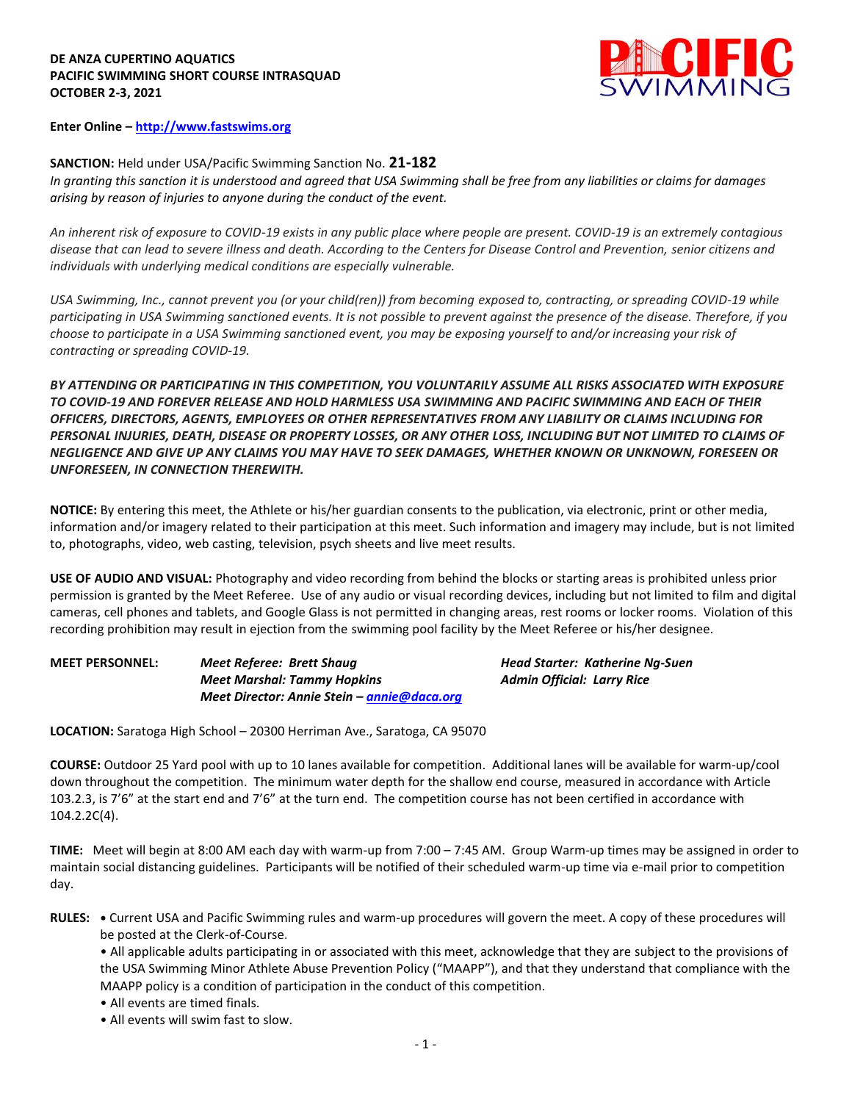### **DE ANZA CUPERTINO AQUATICS PACIFIC SWIMMING SHORT COURSE INTRASQUAD OCTOBER 2-3, 2021**



**Enter Online – [http://www.fastswims.org](http://www.fastswims.org/)**

# **SANCTION:** Held under USA/Pacific Swimming Sanction No. **21-182**

*In granting this sanction it is understood and agreed that USA Swimming shall be free from any liabilities or claims for damages arising by reason of injuries to anyone during the conduct of the event.* 

*An inherent risk of exposure to COVID-19 exists in any public place where people are present. COVID-19 is an extremely contagious disease that can lead to severe illness and death. According to the Centers for Disease Control and Prevention, senior citizens and individuals with underlying medical conditions are especially vulnerable.*

*USA Swimming, Inc., cannot prevent you (or your child(ren)) from becoming exposed to, contracting, or spreading COVID-19 while participating in USA Swimming sanctioned events. It is not possible to prevent against the presence of the disease. Therefore, if you choose to participate in a USA Swimming sanctioned event, you may be exposing yourself to and/or increasing your risk of contracting or spreading COVID-19.*

*BY ATTENDING OR PARTICIPATING IN THIS COMPETITION, YOU VOLUNTARILY ASSUME ALL RISKS ASSOCIATED WITH EXPOSURE TO COVID-19 AND FOREVER RELEASE AND HOLD HARMLESS USA SWIMMING AND PACIFIC SWIMMING AND EACH OF THEIR OFFICERS, DIRECTORS, AGENTS, EMPLOYEES OR OTHER REPRESENTATIVES FROM ANY LIABILITY OR CLAIMS INCLUDING FOR PERSONAL INJURIES, DEATH, DISEASE OR PROPERTY LOSSES, OR ANY OTHER LOSS, INCLUDING BUT NOT LIMITED TO CLAIMS OF NEGLIGENCE AND GIVE UP ANY CLAIMS YOU MAY HAVE TO SEEK DAMAGES, WHETHER KNOWN OR UNKNOWN, FORESEEN OR UNFORESEEN, IN CONNECTION THEREWITH.*

**NOTICE:** By entering this meet, the Athlete or his/her guardian consents to the publication, via electronic, print or other media, information and/or imagery related to their participation at this meet. Such information and imagery may include, but is not limited to, photographs, video, web casting, television, psych sheets and live meet results.

**USE OF AUDIO AND VISUAL:** Photography and video recording from behind the blocks or starting areas is prohibited unless prior permission is granted by the Meet Referee. Use of any audio or visual recording devices, including but not limited to film and digital cameras, cell phones and tablets, and Google Glass is not permitted in changing areas, rest rooms or locker rooms. Violation of this recording prohibition may result in ejection from the swimming pool facility by the Meet Referee or his/her designee.

**MEET PERSONNEL:** *Meet Referee: Brett Shaug Head Starter: Katherine Ng-Suen Meet Marshal: Tammy Hopkins Admin Official: Larry Rice Meet Director: Annie Stein – [annie@daca.org](mailto:annie@daca.org)*

**LOCATION:** Saratoga High School – 20300 Herriman Ave., Saratoga, CA 95070

**COURSE:** Outdoor 25 Yard pool with up to 10 lanes available for competition. Additional lanes will be available for warm-up/cool down throughout the competition. The minimum water depth for the shallow end course, measured in accordance with Article 103.2.3, is 7'6" at the start end and 7'6" at the turn end. The competition course has not been certified in accordance with 104.2.2C(4).

**TIME:** Meet will begin at 8:00 AM each day with warm-up from 7:00 – 7:45 AM. Group Warm-up times may be assigned in order to maintain social distancing guidelines. Participants will be notified of their scheduled warm-up time via e-mail prior to competition day.

- **RULES: •** Current USA and Pacific Swimming rules and warm-up procedures will govern the meet. A copy of these procedures will be posted at the Clerk-of-Course.
	- All applicable adults participating in or associated with this meet, acknowledge that they are subject to the provisions of the USA Swimming Minor Athlete Abuse Prevention Policy ("MAAPP"), and that they understand that compliance with the MAAPP policy is a condition of participation in the conduct of this competition.
	- All events are timed finals.
	- All events will swim fast to slow.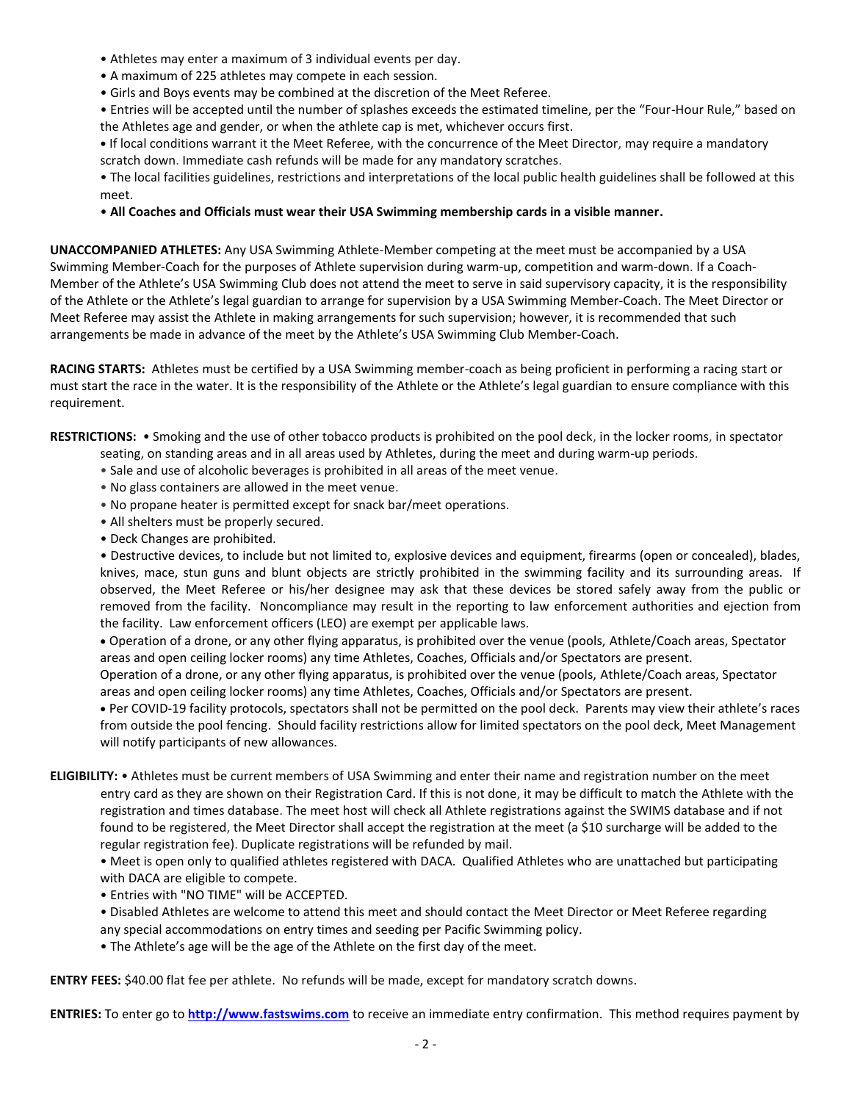- Athletes may enter a maximum of 3 individual events per day.
- A maximum of 225 athletes may compete in each session.
- Girls and Boys events may be combined at the discretion of the Meet Referee.

• Entries will be accepted until the number of splashes exceeds the estimated timeline, per the "Four-Hour Rule," based on the Athletes age and gender, or when the athlete cap is met, whichever occurs first.

**•** If local conditions warrant it the Meet Referee, with the concurrence of the Meet Director, may require a mandatory scratch down. Immediate cash refunds will be made for any mandatory scratches.

• The local facilities guidelines, restrictions and interpretations of the local public health guidelines shall be followed at this meet.

## • **All Coaches and Officials must wear their USA Swimming membership cards in a visible manner.**

**UNACCOMPANIED ATHLETES:** Any USA Swimming Athlete-Member competing at the meet must be accompanied by a USA Swimming Member-Coach for the purposes of Athlete supervision during warm-up, competition and warm-down. If a Coach-Member of the Athlete's USA Swimming Club does not attend the meet to serve in said supervisory capacity, it is the responsibility of the Athlete or the Athlete's legal guardian to arrange for supervision by a USA Swimming Member-Coach. The Meet Director or Meet Referee may assist the Athlete in making arrangements for such supervision; however, it is recommended that such arrangements be made in advance of the meet by the Athlete's USA Swimming Club Member-Coach.

**RACING STARTS:** Athletes must be certified by a USA Swimming member-coach as being proficient in performing a racing start or must start the race in the water. It is the responsibility of the Athlete or the Athlete's legal guardian to ensure compliance with this requirement.

**RESTRICTIONS:** • Smoking and the use of other tobacco products is prohibited on the pool deck, in the locker rooms, in spectator

- seating, on standing areas and in all areas used by Athletes, during the meet and during warm-up periods.
	- Sale and use of alcoholic beverages is prohibited in all areas of the meet venue.
	- No glass containers are allowed in the meet venue.
	- No propane heater is permitted except for snack bar/meet operations.
	- All shelters must be properly secured.
	- Deck Changes are prohibited.

• Destructive devices, to include but not limited to, explosive devices and equipment, firearms (open or concealed), blades, knives, mace, stun guns and blunt objects are strictly prohibited in the swimming facility and its surrounding areas. If observed, the Meet Referee or his/her designee may ask that these devices be stored safely away from the public or removed from the facility. Noncompliance may result in the reporting to law enforcement authorities and ejection from the facility. Law enforcement officers (LEO) are exempt per applicable laws.

 Operation of a drone, or any other flying apparatus, is prohibited over the venue (pools, Athlete/Coach areas, Spectator areas and open ceiling locker rooms) any time Athletes, Coaches, Officials and/or Spectators are present.

Operation of a drone, or any other flying apparatus, is prohibited over the venue (pools, Athlete/Coach areas, Spectator areas and open ceiling locker rooms) any time Athletes, Coaches, Officials and/or Spectators are present.

 Per COVID-19 facility protocols, spectators shall not be permitted on the pool deck. Parents may view their athlete's races from outside the pool fencing. Should facility restrictions allow for limited spectators on the pool deck, Meet Management will notify participants of new allowances.

**ELIGIBILITY:** • Athletes must be current members of USA Swimming and enter their name and registration number on the meet entry card as they are shown on their Registration Card. If this is not done, it may be difficult to match the Athlete with the registration and times database. The meet host will check all Athlete registrations against the SWIMS database and if not found to be registered, the Meet Director shall accept the registration at the meet (a \$10 surcharge will be added to the regular registration fee). Duplicate registrations will be refunded by mail.

• Meet is open only to qualified athletes registered with DACA. Qualified Athletes who are unattached but participating with DACA are eligible to compete.

- Entries with "NO TIME" will be ACCEPTED.
- Disabled Athletes are welcome to attend this meet and should contact the Meet Director or Meet Referee regarding any special accommodations on entry times and seeding per Pacific Swimming policy.
- The Athlete's age will be the age of the Athlete on the first day of the meet.

**ENTRY FEES:** \$40.00 flat fee per athlete. No refunds will be made, except for mandatory scratch downs.

**ENTRIES:** To enter go to **[http://www.fastswims.com](http://www.fastswims.com/)** to receive an immediate entry confirmation. This method requires payment by